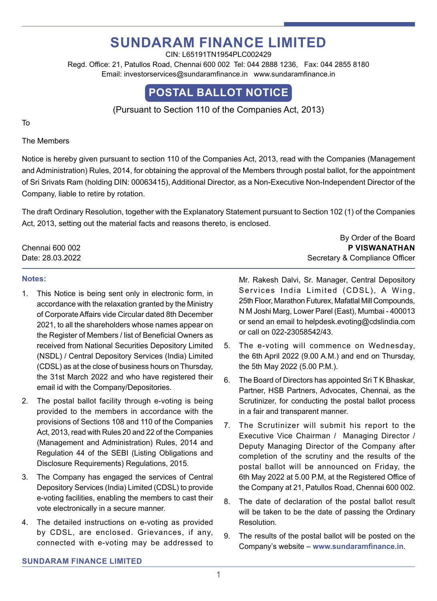# **Sundaram Finance Limited**

CIN: L65191TN1954PLC002429 Regd. Office: 21, Patullos Road, Chennai 600 002 Tel: 044 2888 1236, Fax: 044 2855 8180 Email: investorservices@sundaramfinance.in www.sundaramfinance.in

## **POSTAL BALLOT NOTICE**

(Pursuant to Section 110 of the Companies Act, 2013)

To

The Members

Notice is hereby given pursuant to section 110 of the Companies Act, 2013, read with the Companies (Management and Administration) Rules, 2014, for obtaining the approval of the Members through postal ballot, for the appointment of Sri Srivats Ram (holding DIN: 00063415), Additional Director, as a Non-Executive Non-Independent Director of the Company, liable to retire by rotation.

The draft Ordinary Resolution, together with the Explanatory Statement pursuant to Section 102 (1) of the Companies Act, 2013, setting out the material facts and reasons thereto, is enclosed.

Chennai 600 002 **P Viswanathan** Date: 28.03.2022 Secretary & Compliance Officer

#### **Notes:**

- 1. This Notice is being sent only in electronic form, in accordance with the relaxation granted by the Ministry of Corporate Affairs vide Circular dated 8th December 2021, to all the shareholders whose names appear on the Register of Members / list of Beneficial Owners as received from National Securities Depository Limited (NSDL) / Central Depository Services (India) Limited (CDSL) as at the close of business hours on Thursday, the 31st March 2022 and who have registered their email id with the Company/Depositories.
- 2. The postal ballot facility through e-voting is being provided to the members in accordance with the provisions of Sections 108 and 110 of the Companies Act, 2013, read with Rules 20 and 22 of the Companies (Management and Administration) Rules, 2014 and Regulation 44 of the SEBI (Listing Obligations and Disclosure Requirements) Regulations, 2015.
- 3. The Company has engaged the services of Central Depository Services (India) Limited (CDSL) to provide e-voting facilities, enabling the members to cast their vote electronically in a secure manner.
- 4. The detailed instructions on e-voting as provided by CDSL, are enclosed. Grievances, if any, connected with e-voting may be addressed to

Mr. Rakesh Dalvi, Sr. Manager, Central Depository Services India Limited (CDSL), A Wing, 25th Floor, Marathon Futurex, Mafatlal Mill Compounds, N M Joshi Marg, Lower Parel (East), Mumbai - 400013 or send an email to helpdesk.evoting@cdslindia.com or call on 022-23058542/43.

By Order of the Board

- 5. The e-voting will commence on Wednesday, the 6th April 2022 (9.00 A.M.) and end on Thursday, the 5th May 2022 (5.00 P.M.).
- 6. The Board of Directors has appointed Sri T K Bhaskar, Partner, HSB Partners, Advocates, Chennai, as the Scrutinizer, for conducting the postal ballot process in a fair and transparent manner.
- 7. The Scrutinizer will submit his report to the Executive Vice Chairman / Managing Director / Deputy Managing Director of the Company after completion of the scrutiny and the results of the postal ballot will be announced on Friday, the 6th May 2022 at 5.00 P.M, at the Registered Office of the Company at 21, Patullos Road, Chennai 600 002.
- 8. The date of declaration of the postal ballot result will be taken to be the date of passing the Ordinary Resolution.
- 9. The results of the postal ballot will be posted on the Company's website – **www.sundaramfinance.in**.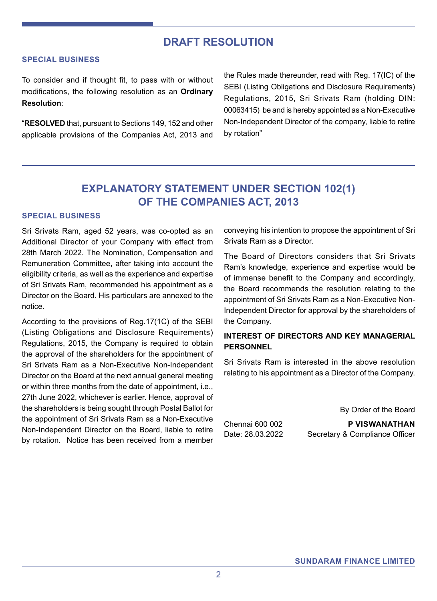## **DRAFT RESOLUTION**

#### **Special Business**

To consider and if thought fit, to pass with or without modifications, the following resolution as an **Ordinary Resolution**:

"**RESOLVED** that, pursuant to Sections 149, 152 and other applicable provisions of the Companies Act, 2013 and the Rules made thereunder, read with Reg. 17(IC) of the SEBI (Listing Obligations and Disclosure Requirements) Regulations, 2015, Sri Srivats Ram (holding DIN: 00063415) be and is hereby appointed as a Non-Executive Non-Independent Director of the company, liable to retire by rotation"

## **EXPLANATORY STATEMENT UNDER SECTION 102(1) OF THE COMPANIES ACT, 2013**

#### **SPECIAL BUSINESS**

Sri Srivats Ram, aged 52 years, was co-opted as an Additional Director of your Company with effect from 28th March 2022. The Nomination, Compensation and Remuneration Committee, after taking into account the eligibility criteria, as well as the experience and expertise of Sri Srivats Ram, recommended his appointment as a Director on the Board. His particulars are annexed to the notice.

According to the provisions of Reg.17(1C) of the SEBI (Listing Obligations and Disclosure Requirements) Regulations, 2015, the Company is required to obtain the approval of the shareholders for the appointment of Sri Srivats Ram as a Non-Executive Non-Independent Director on the Board at the next annual general meeting or within three months from the date of appointment, i.e., 27th June 2022, whichever is earlier. Hence, approval of the shareholders is being sought through Postal Ballot for the appointment of Sri Srivats Ram as a Non-Executive Non-Independent Director on the Board, liable to retire by rotation. Notice has been received from a member conveying his intention to propose the appointment of Sri Srivats Ram as a Director.

The Board of Directors considers that Sri Srivats Ram's knowledge, experience and expertise would be of immense benefit to the Company and accordingly, the Board recommends the resolution relating to the appointment of Sri Srivats Ram as a Non-Executive Non-Independent Director for approval by the shareholders of the Company.

#### **INTEREST OF DIRECTORS AND KEY MANAGERIAL PERSONNEL**

Sri Srivats Ram is interested in the above resolution relating to his appointment as a Director of the Company.

By Order of the Board

Chennai 600 002 **P Viswanathan** Date: 28.03.2022 Secretary & Compliance Officer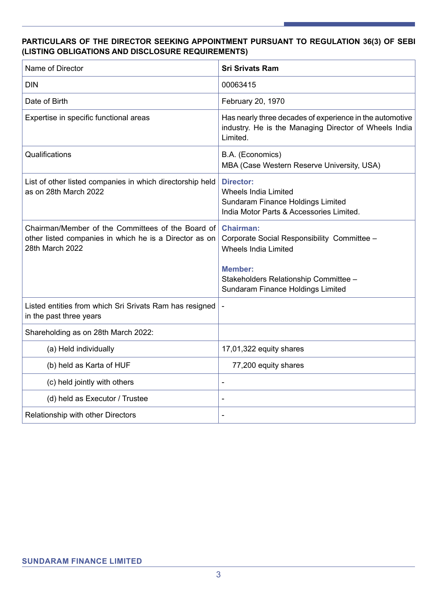#### **PARTICULARS OF THE DIRECTOR SEEKING APPOINTMENT PURSUANT TO REGULATION 36(3) OF SEBI (LISTING OBLIGATIONS AND DISCLOSURE REQUIREMENTS)**

| Name of Director                                                                                                               | <b>Sri Srivats Ram</b>                                                                                                           |
|--------------------------------------------------------------------------------------------------------------------------------|----------------------------------------------------------------------------------------------------------------------------------|
| <b>DIN</b>                                                                                                                     | 00063415                                                                                                                         |
| Date of Birth                                                                                                                  | February 20, 1970                                                                                                                |
| Expertise in specific functional areas                                                                                         | Has nearly three decades of experience in the automotive<br>industry. He is the Managing Director of Wheels India<br>Limited.    |
| Qualifications                                                                                                                 | B.A. (Economics)<br>MBA (Case Western Reserve University, USA)                                                                   |
| List of other listed companies in which directorship held<br>as on 28th March 2022                                             | <b>Director:</b><br><b>Wheels India Limited</b><br>Sundaram Finance Holdings Limited<br>India Motor Parts & Accessories Limited. |
| Chairman/Member of the Committees of the Board of<br>other listed companies in which he is a Director as on<br>28th March 2022 | <b>Chairman:</b><br>Corporate Social Responsibility Committee -<br><b>Wheels India Limited</b>                                   |
|                                                                                                                                | <b>Member:</b><br>Stakeholders Relationship Committee -<br>Sundaram Finance Holdings Limited                                     |
| Listed entities from which Sri Srivats Ram has resigned<br>in the past three years                                             | $\blacksquare$                                                                                                                   |
| Shareholding as on 28th March 2022:                                                                                            |                                                                                                                                  |
| (a) Held individually                                                                                                          | 17,01,322 equity shares                                                                                                          |
| (b) held as Karta of HUF                                                                                                       | 77,200 equity shares                                                                                                             |
| (c) held jointly with others                                                                                                   | $\blacksquare$                                                                                                                   |
| (d) held as Executor / Trustee                                                                                                 | $\blacksquare$                                                                                                                   |
| Relationship with other Directors                                                                                              |                                                                                                                                  |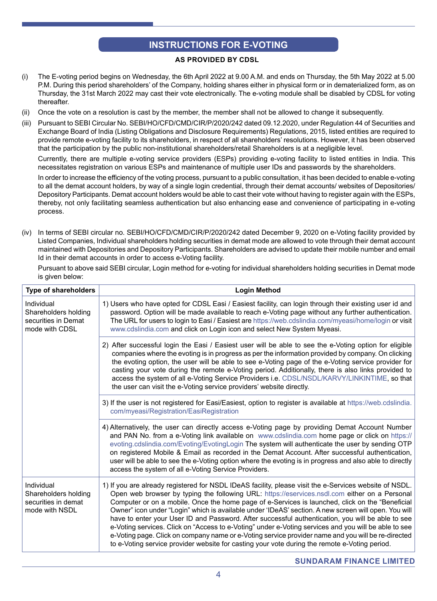### **INSTRUCTIONS FOR E-VOTING**

#### **As provided by CDSL**

- (i) The E-voting period begins on Wednesday, the 6th April 2022 at 9.00 A.M. and ends on Thursday, the 5th May 2022 at 5.00 P.M. During this period shareholders' of the Company, holding shares either in physical form or in dematerialized form, as on Thursday, the 31st March 2022 may cast their vote electronically. The e-voting module shall be disabled by CDSL for voting thereafter.
- (ii) Once the vote on a resolution is cast by the member, the member shall not be allowed to change it subsequently.
- (iii) Pursuant to SEBI Circular No. SEBI/HO/CFD/CMD/CIR/P/2020/242 dated 09.12.2020, under Regulation 44 of Securities and Exchange Board of India (Listing Obligations and Disclosure Requirements) Regulations, 2015, listed entities are required to provide remote e-voting facility to its shareholders, in respect of all shareholders' resolutions. However, it has been observed that the participation by the public non-institutional shareholders/retail Shareholders is at a negligible level.

 Currently, there are multiple e-voting service providers (ESPs) providing e-voting facility to listed entities in India. This necessitates registration on various ESPs and maintenance of multiple user IDs and passwords by the shareholders.

In order to increase the efficiency of the voting process, pursuant to a public consultation, it has been decided to enable e-voting to all the demat account holders, by way of a single login credential, through their demat accounts/ websites of Depositories/ Depository Participants. Demat account holders would be able to cast their vote without having to register again with the ESPs, thereby, not only facilitating seamless authentication but also enhancing ease and convenience of participating in e-voting process.

(iv) In terms of SEBI circular no. SEBI/HO/CFD/CMD/CIR/P/2020/242 dated December 9, 2020 on e-Voting facility provided by Listed Companies, Individual shareholders holding securities in demat mode are allowed to vote through their demat account maintained with Depositories and Depository Participants. Shareholders are advised to update their mobile number and email Id in their demat accounts in order to access e-Voting facility.

 Pursuant to above said SEBI circular, Login method for e-voting for individual shareholders holding securities in Demat mode is given below:

| <b>Type of shareholders</b>                                                 | <b>Login Method</b>                                                                                                                                                                                                                                                                                                                                                                                                                                                                                                                                                                                                                                                                                                                                                                                                                    |
|-----------------------------------------------------------------------------|----------------------------------------------------------------------------------------------------------------------------------------------------------------------------------------------------------------------------------------------------------------------------------------------------------------------------------------------------------------------------------------------------------------------------------------------------------------------------------------------------------------------------------------------------------------------------------------------------------------------------------------------------------------------------------------------------------------------------------------------------------------------------------------------------------------------------------------|
| Individual<br>Shareholders holding<br>securities in Demat<br>mode with CDSL | 1) Users who have opted for CDSL Easi / Easiest facility, can login through their existing user id and<br>password. Option will be made available to reach e-Voting page without any further authentication.<br>The URL for users to login to Easi / Easiest are https://web.cdslindia.com/myeasi/home/login or visit<br>www.cdslindia.com and click on Login icon and select New System Myeasi.                                                                                                                                                                                                                                                                                                                                                                                                                                       |
|                                                                             | 2) After successful login the Easi / Easiest user will be able to see the e-Voting option for eligible<br>companies where the evoting is in progress as per the information provided by company. On clicking<br>the evoting option, the user will be able to see e-Voting page of the e-Voting service provider for<br>casting your vote during the remote e-Voting period. Additionally, there is also links provided to<br>access the system of all e-Voting Service Providers i.e. CDSL/NSDL/KARVY/LINKINTIME, so that<br>the user can visit the e-Voting service providers' website directly.                                                                                                                                                                                                                                      |
|                                                                             | 3) If the user is not registered for Easi/Easiest, option to register is available at https://web.cdslindia.<br>com/myeasi/Registration/EasiRegistration                                                                                                                                                                                                                                                                                                                                                                                                                                                                                                                                                                                                                                                                               |
|                                                                             | 4) Alternatively, the user can directly access e-Voting page by providing Demat Account Number<br>and PAN No. from a e-Voting link available on www.cdslindia.com home page or click on https://<br>evoting.cdslindia.com/Evoting/EvotingLogin The system will authenticate the user by sending OTP<br>on registered Mobile & Email as recorded in the Demat Account. After successful authentication,<br>user will be able to see the e-Voting option where the evoting is in progress and also able to directly<br>access the system of all e-Voting Service Providers.                                                                                                                                                                                                                                                              |
| Individual<br>Shareholders holding<br>securities in demat<br>mode with NSDL | 1) If you are already registered for NSDL IDeAS facility, please visit the e-Services website of NSDL.<br>Open web browser by typing the following URL: https://eservices.nsdl.com either on a Personal<br>Computer or on a mobile. Once the home page of e-Services is launched, click on the "Beneficial<br>Owner" icon under "Login" which is available under 'IDeAS' section. A new screen will open. You will<br>have to enter your User ID and Password. After successful authentication, you will be able to see<br>e-Voting services. Click on "Access to e-Voting" under e-Voting services and you will be able to see<br>e-Voting page. Click on company name or e-Voting service provider name and you will be re-directed<br>to e-Voting service provider website for casting your vote during the remote e-Voting period. |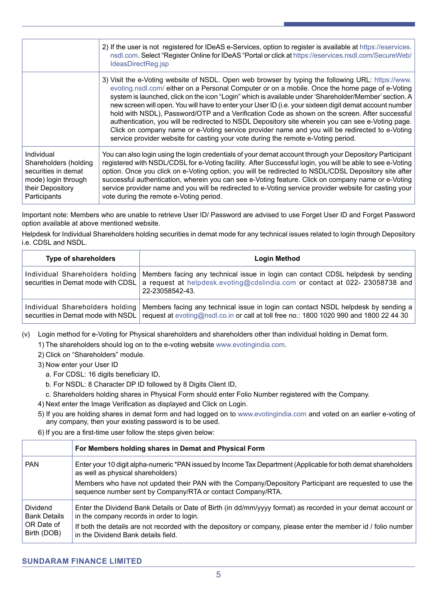|                                                                                                                       | 2) If the user is not registered for IDeAS e-Services, option to register is available at https://eservices.<br>nsdl.com. Select "Register Online for IDeAS "Portal or click at https://eservices.nsdl.com/SecureWeb/<br>IdeasDirectReg.jsp                                                                                                                                                                                                                                                                                                                                                                                                                                                                                                                                                                            |
|-----------------------------------------------------------------------------------------------------------------------|------------------------------------------------------------------------------------------------------------------------------------------------------------------------------------------------------------------------------------------------------------------------------------------------------------------------------------------------------------------------------------------------------------------------------------------------------------------------------------------------------------------------------------------------------------------------------------------------------------------------------------------------------------------------------------------------------------------------------------------------------------------------------------------------------------------------|
|                                                                                                                       | 3) Visit the e-Voting website of NSDL. Open web browser by typing the following URL: https://www.<br>evoting.nsdl.com/ either on a Personal Computer or on a mobile. Once the home page of e-Voting<br>system is launched, click on the icon "Login" which is available under 'Shareholder/Member' section. A<br>new screen will open. You will have to enter your User ID (i.e. your sixteen digit demat account number<br>hold with NSDL), Password/OTP and a Verification Code as shown on the screen. After successful<br>authentication, you will be redirected to NSDL Depository site wherein you can see e-Voting page.<br>Click on company name or e-Voting service provider name and you will be redirected to e-Voting<br>service provider website for casting your vote during the remote e-Voting period. |
| Individual<br>Shareholders (holding<br>securities in demat<br>mode) login through<br>their Depository<br>Participants | You can also login using the login credentials of your demat account through your Depository Participant<br>registered with NSDL/CDSL for e-Voting facility. After Successful login, you will be able to see e-Voting<br>option. Once you click on e-Voting option, you will be redirected to NSDL/CDSL Depository site after<br>successful authentication, wherein you can see e-Voting feature. Click on company name or e-Voting<br>service provider name and you will be redirected to e-Voting service provider website for casting your<br>vote during the remote e-Voting period.                                                                                                                                                                                                                               |

Important note: Members who are unable to retrieve User ID/ Password are advised to use Forget User ID and Forget Password option available at above mentioned website.

Helpdesk for Individual Shareholders holding securities in demat mode for any technical issues related to login through Depository i.e. CDSL and NSDL.

| <b>Type of shareholders</b>                                           | Login Method                                                                                                                                                                       |
|-----------------------------------------------------------------------|------------------------------------------------------------------------------------------------------------------------------------------------------------------------------------|
| Individual Shareholders holding<br>securities in Demat mode with CDSL | Members facing any technical issue in login can contact CDSL helpdesk by sending<br>a request at helpdesk.evoting@cdslindia.com or contact at 022- 23058738 and<br>22-23058542-43. |
| Individual Shareholders holding<br>securities in Demat mode with NSDL | Members facing any technical issue in login can contact NSDL helpdesk by sending a<br>request at evoting@nsdl.co.in or call at toll free no.: 1800 1020 990 and 1800 22 44 30      |

(v) Login method for e-Voting for Physical shareholders and shareholders other than individual holding in Demat form.

1) The shareholders should log on to the e-voting website www.evotingindia.com.

2) Click on "Shareholders" module.

- 3) Now enter your User ID
	- a. For CDSL: 16 digits beneficiary ID,
	- b. For NSDL: 8 Character DP ID followed by 8 Digits Client ID,
	- c. Shareholders holding shares in Physical Form should enter Folio Number registered with the Company.
- 4) Next enter the Image Verification as displayed and Click on Login.
- 5) If you are holding shares in demat form and had logged on to www.evotingindia.com and voted on an earlier e-voting of any company, then your existing password is to be used.
- 6) If you are a first-time user follow the steps given below:

|                                                              | For Members holding shares in Demat and Physical Form                                                                                                                  |
|--------------------------------------------------------------|------------------------------------------------------------------------------------------------------------------------------------------------------------------------|
| <b>PAN</b>                                                   | Enter your 10 digit alpha-numeric *PAN issued by Income Tax Department (Applicable for both demat shareholders<br>as well as physical shareholders)                    |
|                                                              | Members who have not updated their PAN with the Company/Depository Participant are requested to use the<br>sequence number sent by Company/RTA or contact Company/RTA. |
| Dividend<br><b>Bank Details</b><br>OR Date of<br>Birth (DOB) | Enter the Dividend Bank Details or Date of Birth (in dd/mm/yyyy format) as recorded in your demat account or  <br>in the company records in order to login.            |
|                                                              | If both the details are not recorded with the depository or company, please enter the member id / folio number<br>in the Dividend Bank details field.                  |